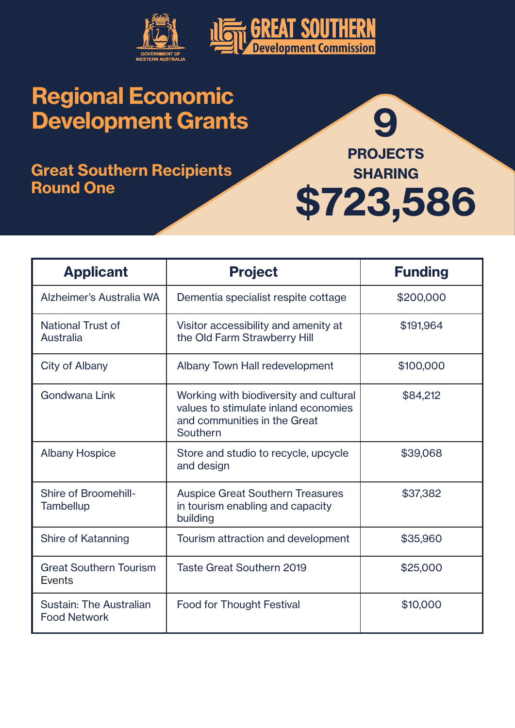

### Great Southern Recipients Round One



| <b>Applicant</b>                                | <b>Project</b>                                                                                                             | <b>Funding</b> |
|-------------------------------------------------|----------------------------------------------------------------------------------------------------------------------------|----------------|
| Alzheimer's Australia WA                        | Dementia specialist respite cottage                                                                                        | \$200,000      |
| <b>National Trust of</b><br>Australia           | Visitor accessibility and amenity at<br>the Old Farm Strawberry Hill                                                       | \$191,964      |
| City of Albany                                  | Albany Town Hall redevelopment                                                                                             | \$100,000      |
| Gondwana Link                                   | Working with biodiversity and cultural<br>values to stimulate inland economies<br>and communities in the Great<br>Southern | \$84,212       |
| <b>Albany Hospice</b>                           | Store and studio to recycle, upcycle<br>and design                                                                         | \$39,068       |
| <b>Shire of Broomehill-</b><br><b>Tambellup</b> | <b>Auspice Great Southern Treasures</b><br>in tourism enabling and capacity<br>building                                    | \$37,382       |
| Shire of Katanning                              | Tourism attraction and development                                                                                         | \$35,960       |
| <b>Great Southern Tourism</b><br><b>Events</b>  | <b>Taste Great Southern 2019</b>                                                                                           | \$25,000       |
| Sustain: The Australian<br><b>Food Network</b>  | <b>Food for Thought Festival</b>                                                                                           | \$10,000       |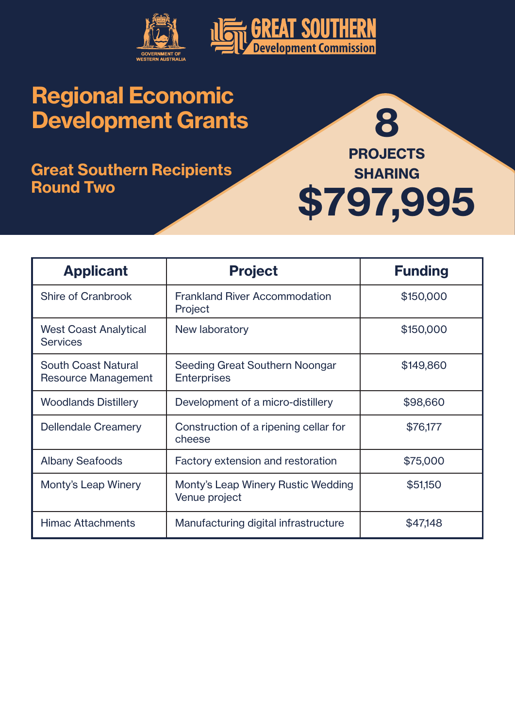

#### Great Southern Recipients Round Two



| <b>Applicant</b>                                         | <b>Project</b>                                         | <b>Funding</b> |
|----------------------------------------------------------|--------------------------------------------------------|----------------|
| <b>Shire of Cranbrook</b>                                | <b>Frankland River Accommodation</b><br><b>Project</b> | \$150,000      |
| <b>West Coast Analytical</b><br><b>Services</b>          | New laboratory                                         | \$150,000      |
| <b>South Coast Natural</b><br><b>Resource Management</b> | Seeding Great Southern Noongar<br><b>Enterprises</b>   | \$149,860      |
| <b>Woodlands Distillery</b>                              | Development of a micro-distillery                      | \$98,660       |
| <b>Dellendale Creamery</b>                               | Construction of a ripening cellar for<br>cheese        | \$76,177       |
| <b>Albany Seafoods</b>                                   | Factory extension and restoration                      | \$75,000       |
| Monty's Leap Winery                                      | Monty's Leap Winery Rustic Wedding<br>Venue project    | \$51,150       |
| <b>Himac Attachments</b>                                 | Manufacturing digital infrastructure                   | \$47,148       |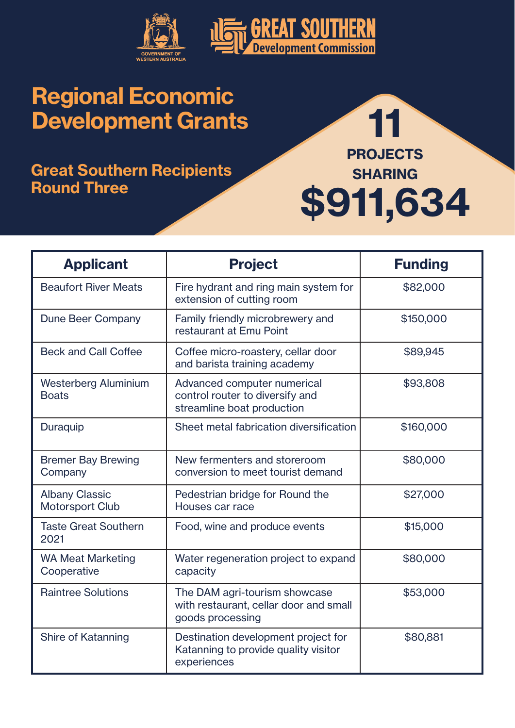

### Great Southern Recipients Round Three



| <b>Applicant</b>                                | <b>Project</b>                                                                               | <b>Funding</b> |
|-------------------------------------------------|----------------------------------------------------------------------------------------------|----------------|
| <b>Beaufort River Meats</b>                     | Fire hydrant and ring main system for<br>extension of cutting room                           | \$82,000       |
| <b>Dune Beer Company</b>                        | Family friendly microbrewery and<br>restaurant at Emu Point                                  | \$150,000      |
| <b>Beck and Call Coffee</b>                     | Coffee micro-roastery, cellar door<br>and barista training academy                           | \$89,945       |
| <b>Westerberg Aluminium</b><br><b>Boats</b>     | Advanced computer numerical<br>control router to diversify and<br>streamline boat production | \$93,808       |
| Duraquip                                        | Sheet metal fabrication diversification                                                      | \$160,000      |
| <b>Bremer Bay Brewing</b><br>Company            | New fermenters and storeroom<br>conversion to meet tourist demand                            | \$80,000       |
| <b>Albany Classic</b><br><b>Motorsport Club</b> | Pedestrian bridge for Round the<br>Houses car race                                           | \$27,000       |
| <b>Taste Great Southern</b><br>2021             | Food, wine and produce events                                                                | \$15,000       |
| <b>WA Meat Marketing</b><br>Cooperative         | Water regeneration project to expand<br>capacity                                             | \$80,000       |
| <b>Raintree Solutions</b>                       | The DAM agri-tourism showcase<br>with restaurant, cellar door and small<br>goods processing  | \$53,000       |
| <b>Shire of Katanning</b>                       | Destination development project for<br>Katanning to provide quality visitor<br>experiences   | \$80,881       |